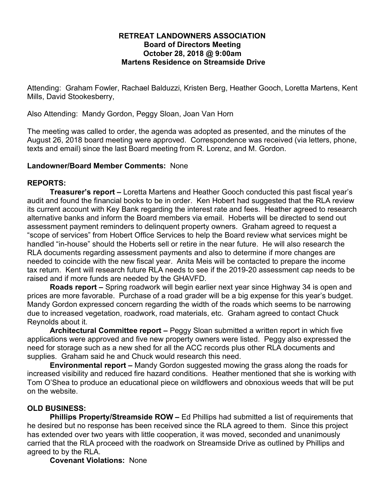### **RETREAT LANDOWNERS ASSOCIATION Board of Directors Meeting October 28, 2018 @ 9:00am Martens Residence on Streamside Drive**

Attending: Graham Fowler, Rachael Balduzzi, Kristen Berg, Heather Gooch, Loretta Martens, Kent Mills, David Stookesberry,

Also Attending: Mandy Gordon, Peggy Sloan, Joan Van Horn

The meeting was called to order, the agenda was adopted as presented, and the minutes of the August 26, 2018 board meeting were approved. Correspondence was received (via letters, phone, texts and email) since the last Board meeting from R. Lorenz, and M. Gordon.

## **Landowner/Board Member Comments:** None

# **REPORTS:**

**Treasurer's report –** Loretta Martens and Heather Gooch conducted this past fiscal year's audit and found the financial books to be in order. Ken Hobert had suggested that the RLA review its current account with Key Bank regarding the interest rate and fees. Heather agreed to research alternative banks and inform the Board members via email. Hoberts will be directed to send out assessment payment reminders to delinquent property owners. Graham agreed to request a "scope of services" from Hobert Office Services to help the Board review what services might be handled "in-house" should the Hoberts sell or retire in the near future. He will also research the RLA documents regarding assessment payments and also to determine if more changes are needed to coincide with the new fiscal year. Anita Meis will be contacted to prepare the income tax return. Kent will research future RLA needs to see if the 2019-20 assessment cap needs to be raised and if more funds are needed by the GHAVFD.

**Roads report –** Spring roadwork will begin earlier next year since Highway 34 is open and prices are more favorable. Purchase of a road grader will be a big expense for this year's budget. Mandy Gordon expressed concern regarding the width of the roads which seems to be narrowing due to increased vegetation, roadwork, road materials, etc. Graham agreed to contact Chuck Reynolds about it.

**Architectural Committee report –** Peggy Sloan submitted a written report in which five applications were approved and five new property owners were listed. Peggy also expressed the need for storage such as a new shed for all the ACC records plus other RLA documents and supplies. Graham said he and Chuck would research this need.

**Environmental report –** Mandy Gordon suggested mowing the grass along the roads for increased visibility and reduced fire hazard conditions. Heather mentioned that she is working with Tom O'Shea to produce an educational piece on wildflowers and obnoxious weeds that will be put on the website.

# **OLD BUSINESS:**

**Phillips Property/Streamside ROW –** Ed Phillips had submitted a list of requirements that he desired but no response has been received since the RLA agreed to them. Since this project has extended over two years with little cooperation, it was moved, seconded and unanimously carried that the RLA proceed with the roadwork on Streamside Drive as outlined by Phillips and agreed to by the RLA.

**Covenant Violations:** None